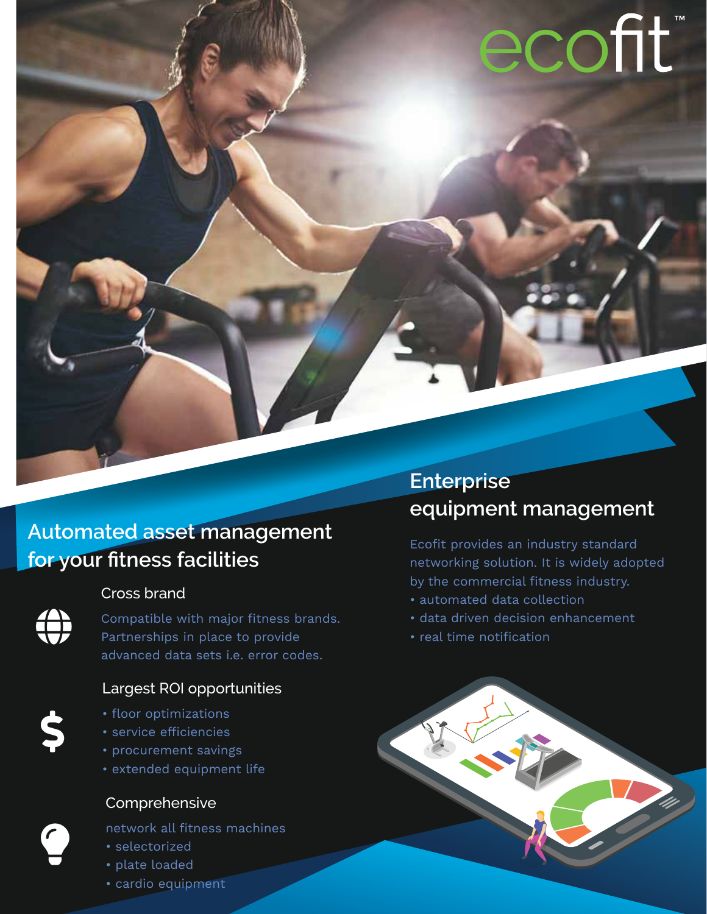# ecofit

## **Automated asset management for your fitness facilities**

#### Cross brand

**!!!!**<br>!!!

\$

9

Compatible with major fitness brands. Partnerships in place to provide advanced data sets i.e. error codes.

#### Largest ROI opportunities

- floor optimizations
- service efficiencies
- procurement savings
- extended equipment life

### Comprehensive

network all fitness machines

- selectorized
- plate loaded
- cardio equipment

## **Enterprise equipment management**

Ecofit provides an industry standard networking solution. It is widely adopted by the commercial fitness industry.

- automated data collection
- data driven decision enhancement
- real time notification